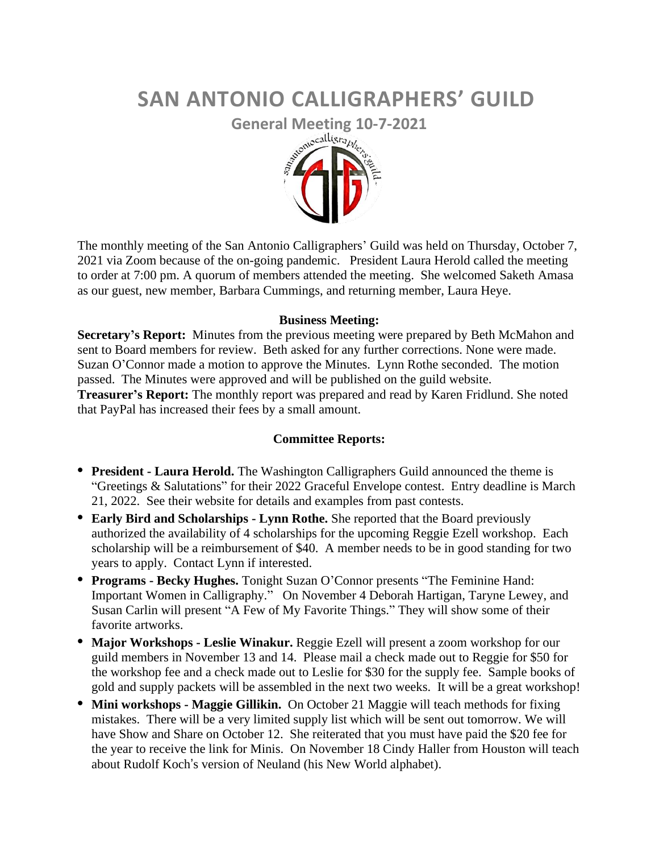# **SAN ANTONIO CALLIGRAPHERS' GUILD**



The monthly meeting of the San Antonio Calligraphers' Guild was held on Thursday, October 7, 2021 via Zoom because of the on-going pandemic. President Laura Herold called the meeting to order at 7:00 pm. A quorum of members attended the meeting. She welcomed Saketh Amasa as our guest, new member, Barbara Cummings, and returning member, Laura Heye.

# **Business Meeting:**

**Secretary's Report:** Minutes from the previous meeting were prepared by Beth McMahon and sent to Board members for review. Beth asked for any further corrections. None were made. Suzan O'Connor made a motion to approve the Minutes. Lynn Rothe seconded. The motion passed. The Minutes were approved and will be published on the guild website. **Treasurer's Report:** The monthly report was prepared and read by Karen Fridlund. She noted that PayPal has increased their fees by a small amount.

# **Committee Reports:**

- **• President - Laura Herold.** The Washington Calligraphers Guild announced the theme is "Greetings & Salutations" for their 2022 Graceful Envelope contest. Entry deadline is March 21, 2022. See their website for details and examples from past contests.
- **• Early Bird and Scholarships - Lynn Rothe.** She reported that the Board previously authorized the availability of 4 scholarships for the upcoming Reggie Ezell workshop. Each scholarship will be a reimbursement of \$40. A member needs to be in good standing for two years to apply. Contact Lynn if interested.
- **• Programs - Becky Hughes.** Tonight Suzan O'Connor presents "The Feminine Hand: Important Women in Calligraphy." On November 4 Deborah Hartigan, Taryne Lewey, and Susan Carlin will present "A Few of My Favorite Things." They will show some of their favorite artworks.
- **• Major Workshops - Leslie Winakur.** Reggie Ezell will present a zoom workshop for our guild members in November 13 and 14. Please mail a check made out to Reggie for \$50 for the workshop fee and a check made out to Leslie for \$30 for the supply fee. Sample books of gold and supply packets will be assembled in the next two weeks. It will be a great workshop!
- **• Mini workshops - Maggie Gillikin.** On October 21 Maggie will teach methods for fixing mistakes. There will be a very limited supply list which will be sent out tomorrow. We will have Show and Share on October 12. She reiterated that you must have paid the \$20 fee for the year to receive the link for Minis. On November 18 Cindy Haller from Houston will teach about Rudolf Koch's version of Neuland (his New World alphabet).